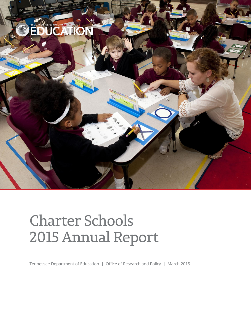

# **Charter Schools** 2015 Annual Report

Tennessee Department of Education | Office of Research and Policy | March 2015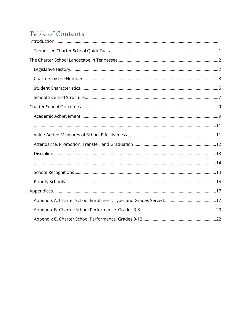## Table of Contents

<span id="page-1-0"></span>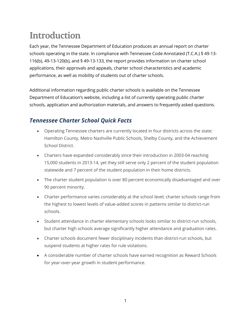## **Introduction**

Each year, the Tennessee Department of Education produces an annual report on charter schools operating in the state. In compliance with Tennessee Code Annotated (T.C.A.) § 49-13- 116(b), 49-13-120(b), and § 49-13-133, the report provides information on charter school applications, their approvals and appeals, charter school characteristics and academic performance, as well as mobility of students out of charter schools.

Additional information regarding public charter schools is available on the [Tennessee](http://www.state.tn.us/education/schools/charter_schools.shtml)  [Department of Education's website](http://www.state.tn.us/education/schools/charter_schools.shtml), including a list of currently operating public charter schools, application and authorization materials, and answers to frequently asked questions.

### <span id="page-2-0"></span>*Tennessee Charter School Quick Facts*

- Operating Tennessee charters are currently located in four districts across the state: Hamilton County, Metro Nashville Public Schools, Shelby County, and the Achievement School District.
- Charters have expanded considerably since their introduction in 2003-04 reaching 15,000 students in 2013-14, yet they still serve only 2 percent of the student population statewide and 7 percent of the student population in their home districts.
- The charter student population is over 80 percent economically disadvantaged and over 90 percent minority.
- Charter performance varies considerably at the school level; charter schools range from the highest to lowest levels of value-added scores in patterns similar to district-run schools.
- Student attendance in charter elementary schools looks similar to district-run schools, but charter high schools average significantly higher attendance and graduation rates.
- Charter schools document fewer disciplinary incidents than district-run schools, but suspend students at higher rates for rule violations.
- A considerable number of charter schools have earned recognition as Reward Schools for year-over-year growth in student performance.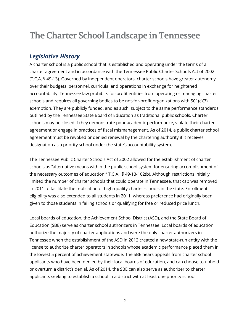## <span id="page-3-0"></span>The Charter School Landscape in Tennessee

#### <span id="page-3-1"></span>*Legislative History*

A charter school is a public school that is established and operating under the terms of a charter agreement and in accordance with the Tennessee Public Charter Schools Act of 2002 (T.C.A. § 49-13). Governed by independent operators, charter schools have greater autonomy over their budgets, personnel, curricula, and operations in exchange for heightened accountability. Tennessee law prohibits for-profit entities from operating or managing charter schools and requires all governing bodies to be not-for-profit organizations with 501(c)(3) exemption. They are publicly funded, and as such, subject to the same performance standards outlined by the Tennessee State Board of Education as traditional public schools. Charter schools may be closed if they demonstrate poor academic performance, violate their charter agreement or engage in practices of fiscal mismanagement. As of 2014, a public charter school agreement must be revoked or denied renewal by the chartering authority if it receives designation as a priority school under the state's accountability system.

The Tennessee Public Charter Schools Act of 2002 allowed for the establishment of charter schools as "alternative means within the public school system for ensuring accomplishment of the necessary outcomes of education," T.C.A. § 49-13-102(b). Although restrictions initially limited the number of charter schools that could operate in Tennessee, that cap was removed in 2011 to facilitate the replication of high-quality charter schools in the state. Enrollment eligibility was also extended to all students in 2011, whereas preference had originally been given to those students in failing schools or qualifying for free or reduced price lunch.

Local boards of education, the Achievement School District (ASD), and the State Board of Education (SBE) serve as charter school authorizers in Tennessee. Local boards of education authorize the majority of charter applications and were the only charter authorizers in Tennessee when the establishment of the ASD in 2012 created a new state-run entity with the license to authorize charter operators in schools whose academic performance placed them in the lowest 5 percent of achievement statewide. The SBE hears appeals from charter school applicants who have been denied by their local boards of education, and can choose to uphold or overturn a district's denial. As of 2014, the SBE can also serve as authorizer to charter applicants seeking to establish a school in a district with at least one priority school.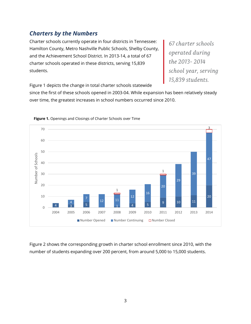### <span id="page-4-0"></span>*Charters by the Numbers*

Charter schools currently operate in four districts in Tennessee: Hamilton County, Metro Nashville Public Schools, Shelby County, and the Achievement School District. In 2013-14, a total of 67 charter schools operated in these districts, serving 15,839 students.

67 charter schools operated during the 2013-2014 school year, serving 15,839 students.

Figure 1 depicts the change in total charter schools statewide

since the first of these schools opened in 2003-04. While expansion has been relatively steady over time, the greatest increases in school numbers occurred since 2010.





Figure 2 shows the corresponding growth in charter school enrollment since 2010, with the number of students expanding over 200 percent, from around 5,000 to 15,000 students.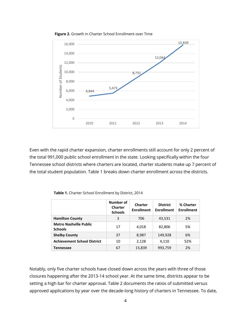

**Figure 2.** Growth in Charter School Enrollment over Time

Even with the rapid charter expansion, charter enrollments still account for only 2 percent of the total 991,000 public school enrollment in the state. Looking specifically within the four Tennessee school districts where charters are located, charter students make up 7 percent of the total student population. Table 1 breaks down charter enrollment across the districts.

|                                                 | Number of<br><b>Charter</b><br><b>Schools</b> | <b>Charter</b><br><b>Enrollment</b> | <b>District</b><br><b>Enrollment</b> | % Charter<br><b>Enrollment</b> |
|-------------------------------------------------|-----------------------------------------------|-------------------------------------|--------------------------------------|--------------------------------|
| <b>Hamilton County</b>                          | 3                                             | 706                                 | 43,531                               | 2%                             |
| <b>Metro Nashville Public</b><br><b>Schools</b> | 17                                            | 4,018                               | 82,806                               | 5%                             |
| <b>Shelby County</b>                            | 37                                            | 8,987                               | 149,928                              | 6%                             |
| <b>Achievement School District</b>              | 10                                            | 2,128                               | 4,110                                | 52%                            |
| <b>Tennessee</b>                                | 67                                            | 15,839                              | 993,759                              | 2%                             |

**Table 1.** Charter School Enrollment by District, 2014

Notably, only five charter schools have closed down across the years with three of those closures happening after the 2013-14 school year. At the same time, districts appear to be setting a high bar for charter approval. Table 2 documents the ratios of submitted versus approved applications by year over the decade-long history of charters in Tennessee. To date,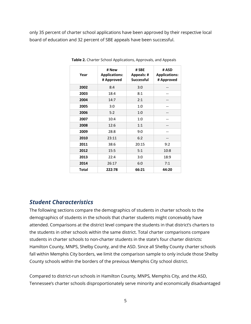only 35 percent of charter school applications have been approved by their respective local board of education and 32 percent of SBE appeals have been successful.

| Year         | # New<br><b>Applications:</b><br># Approved | # SBE<br><b>Appeals: #</b><br><b>Successful</b> | # ASD<br><b>Applications:</b><br># Approved |
|--------------|---------------------------------------------|-------------------------------------------------|---------------------------------------------|
| 2002         | 8:4                                         | 3:0                                             |                                             |
| 2003         | 18:4                                        | 8:1                                             |                                             |
| 2004         | 14:7                                        | 2:1                                             |                                             |
| 2005         | 3:0                                         | 1:0                                             |                                             |
| 2006         | 5:2                                         | 1:0                                             |                                             |
| 2007         | 10:4                                        | 1:0                                             |                                             |
| 2008         | 12:6                                        | 1:1                                             |                                             |
| 2009         | 28:8                                        | 9:0                                             |                                             |
| 2010         | 23:11                                       | 6:2                                             |                                             |
| 2011         | 38:6                                        | 20:15                                           | 9:2                                         |
| 2012         | 15:5                                        | 5:1                                             | 10:8                                        |
| 2013         | 22:4                                        | 3:0                                             | 18:9                                        |
| 2014         | 26:17                                       | 6:0                                             | 7:1                                         |
| <b>Total</b> | 222:78                                      | 66:21                                           | 44:20                                       |

**Table 2.** Charter School Applications, Approvals, and Appeals

#### <span id="page-6-0"></span>*Student Characteristics*

The following sections compare the demographics of students in charter schools to the demographics of students in the schools that charter students might conceivably have attended. Comparisons at the district level compare the students in that district's charters to the students in other schools within the same district. Total charter comparisons compare students in charter schools to non-charter students in the state's four charter districts: Hamilton County, MNPS, Shelby County, and the ASD. Since all Shelby County charter schools fall within Memphis City borders, we limit the comparison sample to only include those Shelby County schools within the borders of the previous Memphis City school district.

Compared to district-run schools in Hamilton County, MNPS, Memphis City, and the ASD, Tennessee's charter schools disproportionately serve minority and economically disadvantaged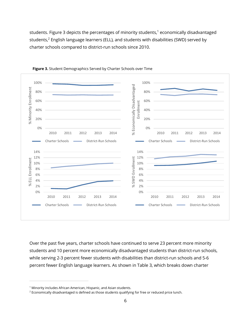students. Figure 3 depicts the percentages of minority students, <sup>1</sup> economically disadvantaged students, <sup>2</sup> English language learners (ELL), and students with disabilities (SWD) served by charter schools compared to district-run schools since 2010.





Over the past five years, charter schools have continued to serve 23 percent more minority students and 10 percent more economically disadvantaged students than district-run schools, while serving 2-3 percent fewer students with disabilities than district-run schools and 5-6 percent fewer English language learners. As shown in Table 3, which breaks down charter

 $\overline{a}$ 

<sup>&</sup>lt;sup>1</sup> Minority includes African American, Hispanic, and Asian students.

<sup>&</sup>lt;sup>2</sup> Economically disadvantaged is defined as those students qualifying for free or reduced price lunch.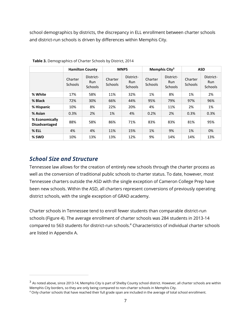school demographics by districts, the discrepancy in ELL enrollment between charter schools and district-run schools is driven by differences within Memphis City.

|                                        | <b>Hamilton County</b>    |                                    | <b>MNPS</b>               |                                           | Memphis City <sup>3</sup> |                                           | <b>ASD</b>                |                                           |
|----------------------------------------|---------------------------|------------------------------------|---------------------------|-------------------------------------------|---------------------------|-------------------------------------------|---------------------------|-------------------------------------------|
|                                        | Charter<br><b>Schools</b> | District-<br>Run<br><b>Schools</b> | Charter<br><b>Schools</b> | District-<br><b>Run</b><br><b>Schools</b> | Charter<br><b>Schools</b> | District-<br><b>Run</b><br><b>Schools</b> | Charter<br><b>Schools</b> | District-<br><b>Run</b><br><b>Schools</b> |
| % White                                | 17%                       | 58%                                | 11%                       | 32%                                       | 1%                        | 8%                                        | 1%                        | 2%                                        |
| % Black                                | 72%                       | 30%                                | 66%                       | 44%                                       | 95%                       | 79%                                       | 97%                       | 96%                                       |
| % Hispanic                             | 10%                       | 8%                                 | 22%                       | 20%                                       | 4%                        | 11%                                       | 2%                        | 1%                                        |
| % Asian                                | 0.3%                      | 2%                                 | 1%                        | 4%                                        | 0.2%                      | 2%                                        | 0.3%                      | 0.3%                                      |
| % Economically<br><b>Disadvantaged</b> | 88%                       | 58%                                | 86%                       | 71%                                       | 83%                       | 83%                                       | 81%                       | 95%                                       |
| % ELL                                  | 4%                        | 4%                                 | 11%                       | 15%                                       | 1%                        | 9%                                        | 1%                        | 0%                                        |
| % SWD                                  | 10%                       | 13%                                | 13%                       | 12%                                       | 9%                        | 14%                                       | 14%                       | 13%                                       |

**Table 3.** Demographics of Charter Schools by District, 2014

#### <span id="page-8-0"></span>*School Size and Structure*

 $\overline{a}$ 

Tennessee law allows for the creation of entirely new schools through the charter process as well as the conversion of traditional public schools to charter status. To date, however, most Tennessee charters outside the ASD with the single exception of Cameron College Prep have been new schools. Within the ASD, all charters represent conversions of previously operating district schools, with the single exception of GRAD academy.

Charter schools in Tennessee tend to enroll fewer students than comparable district-run schools (Figure 4). The average enrollment of charter schools was 284 students in 2013-14 compared to 563 students for district-run schools.<sup>4</sup> Characteristics of individual charter schools are listed in Appendix A.

 $^3$  As noted above, since 2013-14, Memphis City is part of Shelby County school district. However, all charter schools are within Memphis City borders, so they are only being compared to non-charter schools in Memphis City.

<sup>4</sup> Only charter schools that have reached their full grade span are included in the average of total school enrollment.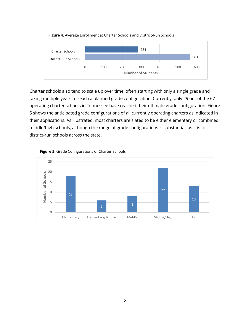

**Figure 4.** Average Enrollment at Charter Schools and District-Run Schools

Charter schools also tend to scale up over time, often starting with only a single grade and taking multiple years to reach a planned grade configuration. Currently, only 29 out of the 67 operating charter schools in Tennessee have reached their ultimate grade configuration. Figure 5 shows the anticipated grade configurations of all currently operating charters as indicated in their applications. As illustrated, most charters are slated to be either elementary or combined middle/high schools, although the range of grade configurations is substantial, as it is for district-run schools across the state.



#### **Figure 5**. Grade Configurations of Charter Schools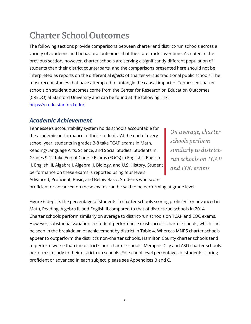## <span id="page-10-0"></span>**Charter School Outcomes**

The following sections provide comparisons between charter and district-run schools across a variety of academic and behavioral outcomes that the state tracks over time. As noted in the previous section, however, charter schools are serving a significantly different population of students than their district counterparts, and the comparisons presented here should not be interpreted as reports on the differential *effects* of charter versus traditional public schools. The most recent studies that have attempted to untangle the causal impact of Tennessee charter schools on student outcomes come from the Center for Research on Education Outcomes (CREDO) at Stanford University and can be found at the following link: <https://credo.stanford.edu/>

### <span id="page-10-1"></span>*Academic Achievement*

Tennessee's accountability system holds schools accountable for the academic performance of their students. At the end of every school year, students in grades 3-8 take TCAP exams in Math, Reading/Language Arts, Science, and Social Studies. Students in Grades 9-12 take End of Course Exams (EOCs) in English I, English II, English III, Algebra I, Algebra II, Biology, and U.S. History. Student performance on these exams is reported using four levels: Advanced, Proficient, Basic, and Below Basic. Students who score

On average, charter schools perform similarly to districtrun schools on TCAP and EOC exams.

proficient or advanced on these exams can be said to be performing at grade level.

Figure 6 depicts the percentage of students in charter schools scoring proficient or advanced in Math, Reading, Algebra II, and English II compared to that of district-run schools in 2014. Charter schools perform similarly on average to district-run schools on TCAP and EOC exams. However, substantial variation in student performance exists across charter schools, which can be seen in the breakdown of achievement by district in Table 4. Whereas MNPS charter schools appear to outperform the district's non-charter schools, Hamilton County charter schools tend to perform worse than the district's non-charter schools. Memphis City and ASD charter schools perform similarly to their district-run schools. For school-level percentages of students scoring proficient or advanced in each subject, please see Appendices B and C.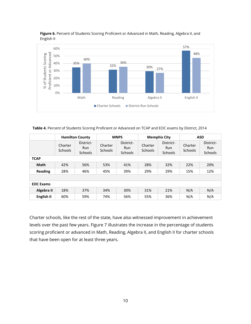

**Figure 6.** Percent of Students Scoring Proficient or Advanced in Math, Reading, Algebra II, and English II

**Table 4.** Percent of Students Scoring Proficient or Advanced on TCAP and EOC exams by District, 2014

|                  | <b>Hamilton County</b>    |                                     | <b>MNPS</b>               |                                           | <b>Memphis City</b>       |                                           | <b>ASD</b>                |                             |
|------------------|---------------------------|-------------------------------------|---------------------------|-------------------------------------------|---------------------------|-------------------------------------------|---------------------------|-----------------------------|
|                  | Charter<br><b>Schools</b> | District-<br>Run.<br><b>Schools</b> | Charter<br><b>Schools</b> | District-<br><b>Run</b><br><b>Schools</b> | Charter<br><b>Schools</b> | District-<br><b>Run</b><br><b>Schools</b> | Charter<br><b>Schools</b> | District-<br>Run<br>Schools |
| <b>TCAP</b>      |                           |                                     |                           |                                           |                           |                                           |                           |                             |
| Math             | 42%                       | 56%                                 | 53%                       | 41%                                       | 28%                       | 32%                                       | 22%                       | 20%                         |
| <b>Reading</b>   | 28%                       | 46%                                 | 45%                       | 39%                                       | 29%                       | 29%                                       | 15%                       | 12%                         |
|                  |                           |                                     |                           |                                           |                           |                                           |                           |                             |
| <b>EOC Exams</b> |                           |                                     |                           |                                           |                           |                                           |                           |                             |
| Algebra II       | 18%                       | 37%                                 | 34%                       | 30%                                       | 31%                       | 21%                                       | N/A                       | N/A                         |
| English II       | 60%                       | 59%                                 | 74%                       | 56%                                       | 55%                       | 36%                                       | N/A                       | N/A                         |

Charter schools, like the rest of the state, have also witnessed improvement in achievement levels over the past few years. Figure 7 illustrates the increase in the percentage of students scoring proficient or advanced in Math, Reading, Algebra II, and English II for charter schools that have been open for at least three years.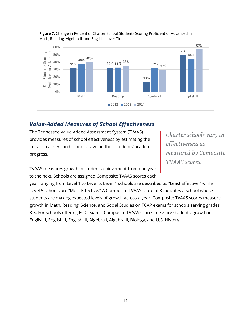

#### <span id="page-12-0"></span>**Figure 7.** Change in Percent of Charter School Students Scoring Proficient or Advanced in Math, Reading, Algebra II, and English II over Time

#### <span id="page-12-1"></span>*Value-Added Measures of School Effectiveness*

The Tennessee Value Added Assessment System (TVAAS) provides measures of school effectiveness by estimating the impact teachers and schools have on their students' academic progress.

Charter schools vary in effectiveness as measured by Composite TVAAS scores.

TVAAS measures growth in student achievement from one year to the next. Schools are assigned Composite TVAAS scores each

year ranging from Level 1 to Level 5. Level 1 schools are described as "Least Effective," while Level 5 schools are "Most Effective." A Composite TVAAS score of 3 indicates a school whose students are making expected levels of growth across a year. Composite TVAAS scores measure growth in Math, Reading, Science, and Social Studies on TCAP exams for schools serving grades 3-8. For schools offering EOC exams, Composite TVAAS scores measure students' growth in English I, English II, English III, Algebra I, Algebra II, Biology, and U.S. History.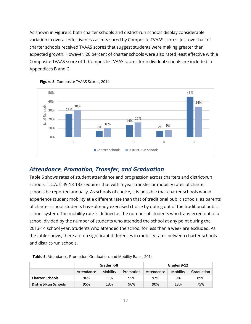As shown in Figure 8, both charter schools and district-run schools display considerable variation in overall effectiveness as measured by Composite TVAAS scores. Just over half of charter schools received TVAAS scores that suggest students were making greater than expected growth. However, 26 percent of charter schools were also rated least effective with a Composite TVAAS score of 1. Composite TVAAS scores for individual schools are included in Appendices B and C.



**Figure 8.** Composite TVAAS Scores, 2014

#### <span id="page-13-0"></span>*Attendance, Promotion, Transfer, and Graduation*

Table 5 shows rates of student attendance and progression across charters and district-run schools. T.C.A. § 49-13-133 requires that within-year transfer or mobility rates of charter schools be reported annually. As schools of choice, it is possible that charter schools would experience student mobility at a different rate than that of traditional public schools, as parents of charter school students have already exercised choice by opting out of the traditional public school system. The mobility rate is defined as the number of students who transferred out of a school divided by the number of students who attended the school at any point during the 2013-14 school year. Students who attended the school for less than a week are excluded. As the table shows, there are no significant differences in mobility rates between charter schools and district-run schools.

|                             |            | Grades K-8 |           | Grades 9-12 |          |            |
|-----------------------------|------------|------------|-----------|-------------|----------|------------|
|                             | Attendance | Mobility   | Promotion | Attendance  | Mobility | Graduation |
| <b>Charter Schools</b>      | 96%        | 11%        | 95%       | 97%         | 9%       | 89%        |
| <b>District-Run Schools</b> | 95%        | 13%        | 96%       | 90%         | 13%      | 75%        |

**Table 5.** Attendance, Promotion, Graduation, and Mobility Rates, 2014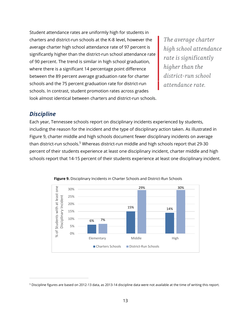Student attendance rates are uniformly high for students in charters and district-run schools at the K-8 level, however the average charter high school attendance rate of 97 percent is significantly higher than the district-run school attendance rate of 90 percent. The trend is similar in high school graduation, where there is a significant 14 percentage point difference between the 89 percent average graduation rate for charter schools and the 75 percent graduation rate for district-run schools. In contrast, student promotion rates across grades look almost identical between charters and district-run schools.

The average charter high school attendance rate is significantly higher than the district-run school attendance rate.

#### <span id="page-14-0"></span>*Discipline*

 $\overline{a}$ 

Each year, Tennessee schools report on disciplinary incidents experienced by students, including the reason for the incident and the type of disciplinary action taken. As illustrated in Figure 9, charter middle and high schools document fewer disciplinary incidents on average than district-run schools.<sup>5</sup> Whereas district-run middle and high schools report that 29-30 percent of their students experience at least one disciplinary incident, charter middle and high schools report that 14-15 percent of their students experience at least one disciplinary incident.



**Figure 9.** Disciplinary Incidents in Charter Schools and District-Run Schools

<sup>5</sup> Discipline figures are based on 2012-13 data, as 2013-14 discipline data were not available at the time of writing this report.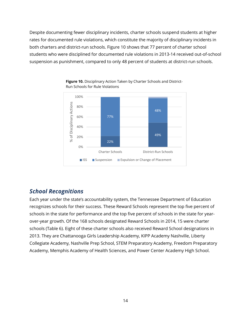<span id="page-15-0"></span>Despite documenting fewer disciplinary incidents, charter schools suspend students at higher rates for documented rule violations, which constitute the majority of disciplinary incidents in both charters and district-run schools. Figure 10 shows that 77 percent of charter school students who were disciplined for documented rule violations in 2013-14 received out-of-school suspension as punishment, compared to only 48 percent of students at district-run schools.



**Figure 10.** Disciplinary Action Taken by Charter Schools and District-Run Schools for Rule Violations

### <span id="page-15-1"></span>*School Recognitions*

Each year under the state's accountability system, the Tennessee Department of Education recognizes schools for their success. These Reward Schools represent the top five percent of schools in the state for performance and the top five percent of schools in the state for yearover-year growth. Of the 168 schools designated Reward Schools in 2014, 15 were charter schools (Table 6). Eight of these charter schools also received Reward School designations in 2013. They are Chattanooga Girls Leadership Academy, KIPP Academy Nashville, Liberty Collegiate Academy, Nashville Prep School, STEM Preparatory Academy, Freedom Preparatory Academy, Memphis Academy of Health Sciences, and Power Center Academy High School.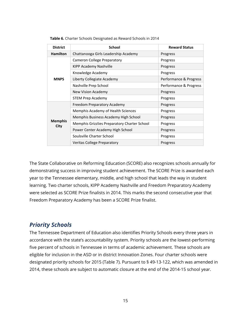| <b>District</b>        | <b>School</b>                                | <b>Reward Status</b>   |
|------------------------|----------------------------------------------|------------------------|
| <b>Hamilton</b>        | Chattanooga Girls Leadership Academy         | Progress               |
|                        | <b>Cameron College Preparatory</b>           | Progress               |
|                        | KIPP Academy Nashville                       | Progress               |
|                        | Knowledge Academy                            | Progress               |
| <b>MNPS</b>            | Liberty Collegiate Academy                   | Performance & Progress |
|                        | Nashville Prep School                        | Performance & Progress |
|                        | New Vision Academy                           | Progress               |
|                        | <b>STEM Prep Academy</b>                     | Progress               |
|                        | Freedom Preparatory Academy                  | Progress               |
|                        | Memphis Academy of Health Sciences           | Progress               |
|                        | Memphis Business Academy High School         | Progress               |
| <b>Memphis</b><br>City | Memphis Grizzlies Preparatory Charter School | Progress               |
|                        | Power Center Academy High School             | Progress               |
|                        | Soulsville Charter School                    | Progress               |
|                        | <b>Veritas College Preparatory</b>           | Progress               |

**Table 6.** Charter Schools Designated as Reward Schools in 2014

The State Collaborative on Reforming Education (SCORE) also recognizes schools annually for demonstrating success in improving student achievement. The SCORE Prize is awarded each year to the Tennessee elementary, middle, and high school that leads the way in student learning. Two charter schools, KIPP Academy Nashville and Freedom Preparatory Academy were selected as SCORE Prize finalists in 2014. This marks the second consecutive year that Freedom Preparatory Academy has been a SCORE Prize finalist.

#### <span id="page-16-0"></span>*Priority Schools*

The Tennessee Department of Education also identifies Priority Schools every three years in accordance with the state's accountability system. Priority schools are the lowest-performing five percent of schools in Tennessee in terms of academic achievement. These schools are eligible for inclusion in the ASD or in district Innovation Zones. Four charter schools were designated priority schools for 2015 (Table 7). Pursuant to § 49-13-122, which was amended in 2014, these schools are subject to automatic closure at the end of the 2014-15 school year.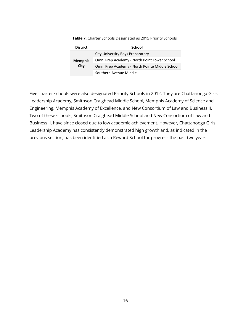| <b>District</b> | School                                         |
|-----------------|------------------------------------------------|
|                 | City University Boys Preparatory               |
| <b>Memphis</b>  | Omni Prep Academy - North Point Lower School   |
| City            | Omni Prep Academy - North Pointe Middle School |
|                 | Southern Avenue Middle                         |

**Table 7.** Charter Schools Designated as 2015 Priority Schools

Five charter schools were also designated Priority Schools in 2012. They are Chattanooga Girls Leadership Academy, Smithson Craighead Middle School, Memphis Academy of Science and Engineering, Memphis Academy of Excellence, and New Consortium of Law and Business II. Two of these schools, Smithson Craighead Middle School and New Consortium of Law and Business II, have since closed due to low academic achievement. However, Chattanooga Girls Leadership Academy has consistently demonstrated high growth and, as indicated in the previous section, has been identified as a Reward School for progress the past two years.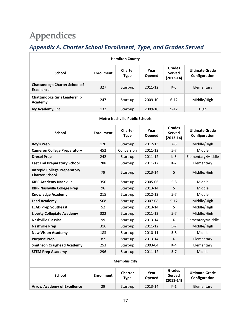## <span id="page-18-0"></span>**Appendices**

### <span id="page-18-1"></span>*Appendix A. Charter School Enrollment, Type, and Grades Served*

| <b>Hamilton County</b>                                       |                   |                                       |                |                                               |                                        |  |  |
|--------------------------------------------------------------|-------------------|---------------------------------------|----------------|-----------------------------------------------|----------------------------------------|--|--|
| <b>School</b>                                                | <b>Enrollment</b> | <b>Charter</b><br><b>Type</b>         | Year<br>Opened | <b>Grades</b><br><b>Served</b><br>$(2013-14)$ | <b>Ultimate Grade</b><br>Configuration |  |  |
| <b>Chattanooga Charter School of</b><br><b>Excellence</b>    | 327               | Start-up                              | 2011-12        | $K-5$                                         | Elementary                             |  |  |
| <b>Chattanooga Girls Leadership</b><br>Academy               | 247               | Start-up                              | 2009-10        | $6 - 12$                                      | Middle/High                            |  |  |
| Ivy Academy, Inc.                                            | 132               | Start-up                              | 2009-10        | $9 - 12$                                      | High                                   |  |  |
|                                                              |                   | <b>Metro Nashville Public Schools</b> |                |                                               |                                        |  |  |
| <b>School</b>                                                | <b>Enrollment</b> | <b>Charter</b><br><b>Type</b>         | Year<br>Opened | Grades<br>Served<br>$(2013-14)$               | <b>Ultimate Grade</b><br>Configuration |  |  |
| <b>Boy's Prep</b>                                            | 120               | Start-up                              | 2012-13        | 7-8                                           | Middle/High                            |  |  |
| <b>Cameron College Preparatory</b>                           | 452               | Conversion                            | 2011-12        | $5 - 7$                                       | Middle                                 |  |  |
| <b>Drexel Prep</b>                                           | 242               | Start-up                              | 2011-12        | K-5                                           | Elementary/Middle                      |  |  |
| <b>East End Preparatory School</b>                           | 288               | Start-up                              | 2011-12        | K-2                                           | Elementary                             |  |  |
| <b>Intrepid College Preparatory</b><br><b>Charter School</b> | 79                | Start-up                              | 2013-14        | 5                                             | Middle/High                            |  |  |
| <b>KIPP Academy Nashville</b>                                | 350               | Start-up                              | 2005-06        | $5 - 8$                                       | Middle                                 |  |  |
| <b>KIPP Nashville College Prep</b>                           | 96                | Start-up                              | 2013-14        | 5                                             | Middle                                 |  |  |
| <b>Knowledge Academy</b>                                     | 215               | Start-up                              | 2012-13        | $5 - 7$                                       | Middle                                 |  |  |
| <b>Lead Academy</b>                                          | 568               | Start-up                              | 2007-08        | $5 - 12$                                      | Middle/High                            |  |  |
| <b>LEAD Prep Southeast</b>                                   | 52                | Start-up                              | 2013-14        | 5                                             | Middle/High                            |  |  |
| <b>Liberty Collegiate Academy</b>                            | 322               | Start-up                              | 2011-12        | $5 - 7$                                       | Middle/High                            |  |  |
| <b>Nashville Classical</b>                                   | 99                | Start-up                              | 2013-14        | к                                             | Elementary/Middle                      |  |  |
| <b>Nashville Prep</b>                                        | 316               | Start-up                              | 2011-12        | $5 - 7$                                       | Middle/High                            |  |  |
| <b>New Vision Academy</b>                                    | 183               | Start-up                              | 2010-11        | $5 - 8$                                       | Middle                                 |  |  |
| <b>Purpose Prep</b>                                          | 87                | Start-up                              | 2013-14        | К                                             | Elementary                             |  |  |
| <b>Smithson Craighead Academy</b>                            | 253               | Start-up                              | 2003-04        | K-4                                           | Elementary                             |  |  |
| <b>STEM Prep Academy</b>                                     | 296               | Start-up                              | 2011-12        | $5 - 7$                                       | Middle                                 |  |  |
| <b>Memphis City</b>                                          |                   |                                       |                |                                               |                                        |  |  |
| <b>School</b>                                                | <b>Enrollment</b> | <b>Charter</b><br><b>Type</b>         | Year<br>Opened | <b>Grades</b><br>Served<br>$(2013-14)$        | <b>Ultimate Grade</b><br>Configuration |  |  |
| <b>Arrow Academy of Excellence</b>                           | 29                | Start-up                              | 2013-14        | $K-1$                                         | Elementary                             |  |  |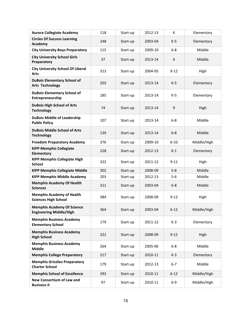| <b>Aurora Collegiate Academy</b>                                    | 118 | Start-up | 2012-13 | К        | Elementary  |
|---------------------------------------------------------------------|-----|----------|---------|----------|-------------|
| <b>Circles Of Success Learning</b><br>Academy                       | 248 | Start-up | 2003-04 | $K-5$    | Elementary  |
| <b>City University Boys Preparatory</b>                             | 115 | Start-up | 2009-10 | $6 - 8$  | Middle      |
| <b>City University School Girls</b><br>Preparatory                  | 37  | Start-up | 2013-14 | 6        | Middle      |
| <b>City University School Of Liberal</b><br><b>Arts</b>             | 313 | Start-up | 2004-05 | $9 - 12$ | High        |
| <b>DuBois Elementary School of</b><br><b>Arts Technology</b>        | 203 | Start-up | 2013-14 | $K-5$    | Elementary  |
| <b>DuBois Elementary School of</b><br>Entrepreneurship              | 185 | Start-up | 2013-14 | $K-5$    | Elementary  |
| <b>DuBois High School of Arts</b><br><b>Technology</b>              | 74  | Start-up | 2013-14 | 9        | High        |
| <b>DuBois Middle of Leadership</b><br><b>Public Policy</b>          | 107 | Start-up | 2013-14 | $6 - 8$  | Middle      |
| <b>DuBois Middle School of Arts</b><br><b>Technology</b>            | 139 | Start-up | 2013-14 | $6 - 8$  | Middle      |
| <b>Freedom Preparatory Academy</b>                                  | 376 | Start-up | 2009-10 | $6 - 10$ | Middle/High |
| <b>KIPP Memphis Collegiate</b><br>Elementary                        | 228 | Start-up | 2012-13 | $K-1$    | Elementary  |
| <b>KIPP Memphis Collegiate High</b><br><b>School</b>                | 322 | Start-up | 2011-12 | $9 - 11$ | High        |
| <b>KIPP Memphis Collegiate Middle</b>                               | 302 | Start-up | 2008-09 | $5 - 8$  | Middle      |
| <b>KIPP Memphis Middle Academy</b>                                  | 203 | Start-up | 2012-13 | 5-6      | Middle      |
| <b>Memphis Academy Of Health</b><br><b>Sciences</b>                 | 311 | Start-up | 2003-04 | $6 - 8$  | Middle      |
| <b>Memphis Academy of Health</b><br><b>Sciences High School</b>     | 384 | Start-up | 2008-09 | $9 - 12$ | High        |
| <b>Memphis Academy Of Science</b><br><b>Engineering Middle/High</b> | 364 | Start-up | 2003-04 | $6 - 12$ | Middle/High |
| <b>Memphis Business Academy</b><br><b>Elementary School</b>         | 179 | Start-up | 2011-12 | $K-3$    | Elementary  |
| <b>Memphis Business Academy</b><br><b>High School</b>               | 322 | Start-up | 2008-09 | $9 - 12$ | High        |
| <b>Memphis Business Academy</b><br><b>Middle</b>                    | 264 | Start-up | 2005-06 | $6 - 8$  | Middle      |
| <b>Memphis College Preparatory</b>                                  | 217 | Start-up | 2010-11 | $K-3$    | Elementary  |
| <b>Memphis Grizzlies Preparatory</b><br><b>Charter School</b>       | 179 | Start-up | 2012-13 | $6 - 7$  | Middle      |
| <b>Memphis School of Excellence</b>                                 | 393 | Start-up | 2010-11 | $6 - 12$ | Middle/High |
| <b>New Consortium of Law and</b><br><b>Business II</b>              | 97  | Start-up | 2010-11 | $6-9$    | Middle/High |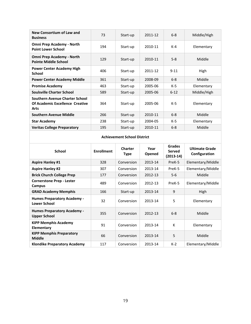| New Consortium of Law and<br><b>Business</b>                              | 73  | Start-up | 2011-12 | $6 - 8$  | Middle/High |
|---------------------------------------------------------------------------|-----|----------|---------|----------|-------------|
| <b>Omni Prep Academy - North</b><br><b>Point Lower School</b>             | 194 | Start-up | 2010-11 | $K-4$    | Elementary  |
| <b>Omni Prep Academy - North</b><br><b>Pointe Middle School</b>           | 129 | Start-up | 2010-11 | $5 - 8$  | Middle      |
| <b>Power Center Academy High</b><br>School                                | 406 | Start-up | 2011-12 | $9 - 11$ | High        |
| <b>Power Center Academy Middle</b>                                        | 361 | Start-up | 2008-09 | $6 - 8$  | Middle      |
| <b>Promise Academy</b>                                                    | 463 | Start-up | 2005-06 | $K-5$    | Elementary  |
| <b>Soulsville Charter School</b>                                          | 589 | Start-up | 2005-06 | $6 - 12$ | Middle/High |
| Southern Avenue Charter School<br>Of Academic Excellence Creative<br>Arts | 364 | Start-up | 2005-06 | $K-5$    | Elementary  |
| <b>Southern Avenue Middle</b>                                             | 266 | Start-up | 2010-11 | $6 - 8$  | Middle      |
| <b>Star Academy</b>                                                       | 238 | Start-up | 2004-05 | $K-5$    | Elementary  |
| <b>Veritas College Preparatory</b>                                        | 195 | Start-up | 2010-11 | $6 - 8$  | Middle      |

#### **Achievement School District**

| <b>School</b>                                             | <b>Enrollment</b> | <b>Charter</b><br><b>Type</b> | Year<br>Opened | <b>Grades</b><br>Served<br>$(2013-14)$ | <b>Ultimate Grade</b><br>Configuration |
|-----------------------------------------------------------|-------------------|-------------------------------|----------------|----------------------------------------|----------------------------------------|
| <b>Aspire Hanley #1</b>                                   | 328               | Conversion                    | 2013-14        | PreK-5                                 | Elementary/Middle                      |
| <b>Aspire Hanley #2</b>                                   | 307               | Conversion                    | 2013-14        | PreK-5                                 | Elementary/Middle                      |
| <b>Brick Church College Prep</b>                          | 177               | Conversion                    | 2012-13        | $5-6$                                  | Middle                                 |
| <b>Cornerstone Prep - Lester</b><br>Campus                | 489               | Conversion                    | 2012-13        | PreK-5                                 | Elementary/Middle                      |
| <b>GRAD Academy Memphis</b>                               | 166               | Start-up                      | 2013-14        | 9                                      | High                                   |
| <b>Humes Preparatory Academy -</b><br><b>Lower School</b> | 32                | Conversion                    | 2013-14        | 5                                      | Elementary                             |
| <b>Humes Preparatory Academy -</b><br><b>Upper School</b> | 355               | Conversion                    | 2012-13        | $6 - 8$                                | Middle                                 |
| <b>KIPP Memphis Academy</b><br>Elementary                 | 91                | Conversion                    | 2013-14        | К                                      | Elementary                             |
| <b>KIPP Memphis Preparatory</b><br><b>Middle</b>          | 66                | Conversion                    | 2013-14        | 5                                      | Middle                                 |
| <b>Klondike Preparatory Academy</b>                       | 117               | Conversion                    | 2013-14        | $K-2$                                  | Elementary/Middle                      |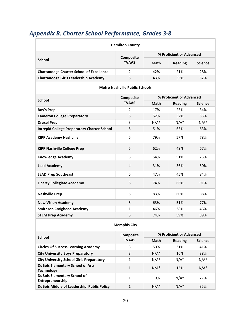## <span id="page-21-0"></span>*Appendix B. Charter School Performance, Grades 3-8*

| <b>Hamilton County</b>                             |                |                          |                |                |  |  |  |
|----------------------------------------------------|----------------|--------------------------|----------------|----------------|--|--|--|
|                                                    | Composite      | % Proficient or Advanced |                |                |  |  |  |
| <b>School</b>                                      | <b>TVAAS</b>   | <b>Math</b>              | <b>Reading</b> | <b>Science</b> |  |  |  |
| <b>Chattanooga Charter School of Excellence</b>    | $\overline{2}$ | 42%                      | 21%            | 28%            |  |  |  |
| <b>Chattanooga Girls Leadership Academy</b>        | 5              | 43%                      | 35%            | 52%            |  |  |  |
| <b>Metro Nashville Public Schools</b>              |                |                          |                |                |  |  |  |
| <b>School</b>                                      | Composite      | % Proficient or Advanced |                |                |  |  |  |
|                                                    | <b>TVAAS</b>   | <b>Math</b>              | <b>Reading</b> | Science        |  |  |  |
| <b>Boy's Prep</b>                                  | $\overline{2}$ | 17%                      | 23%            | 34%            |  |  |  |
| <b>Cameron College Preparatory</b>                 | 5              | 52%                      | 32%            | 53%            |  |  |  |
| <b>Drexel Prep</b>                                 | 3              | $N/A^*$                  | $N/A^*$        | $N/A^*$        |  |  |  |
| <b>Intrepid College Preparatory Charter School</b> | 5              | 51%                      | 63%            | 63%            |  |  |  |
| <b>KIPP Academy Nashville</b>                      | 5              | 79%                      | 57%            | 78%            |  |  |  |
| <b>KIPP Nashville College Prep</b>                 | 5              | 62%                      | 49%            | 67%            |  |  |  |
| <b>Knowledge Academy</b>                           | 5              | 54%                      | 51%            | 75%            |  |  |  |
| <b>Lead Academy</b>                                | 4              | 31%                      | 36%            | 50%            |  |  |  |
| <b>LEAD Prep Southeast</b>                         | 5              | 47%                      | 45%            | 84%            |  |  |  |
| <b>Liberty Collegiate Academy</b>                  | 5              | 74%                      | 66%            | 91%            |  |  |  |
| <b>Nashville Prep</b>                              | 5              | 83%                      | 60%            | 88%            |  |  |  |
| <b>New Vision Academy</b>                          | 5              | 63%                      | 51%            | 77%            |  |  |  |
| <b>Smithson Craighead Academy</b>                  | $\mathbf{1}$   | 46%                      | 38%            | 46%            |  |  |  |
| <b>STEM Prep Academy</b>                           | 5              | 74%                      | 59%            | 89%            |  |  |  |

#### **Memphis City**

| <b>School</b>                                                | Composite    | % Proficient or Advanced |         |                |  |  |
|--------------------------------------------------------------|--------------|--------------------------|---------|----------------|--|--|
|                                                              | <b>TVAAS</b> | Math                     | Reading | <b>Science</b> |  |  |
| <b>Circles Of Success Learning Academy</b>                   | 3            | 50%                      | 31%     | 41%            |  |  |
| <b>City University Boys Preparatory</b>                      | 3            | $N/A^*$                  | 16%     | 38%            |  |  |
| <b>City University School Girls Preparatory</b>              | 1            | $N/A^*$                  | $N/A^*$ | $N/A^*$        |  |  |
| <b>DuBois Elementary School of Arts</b><br><b>Technology</b> | 1            | $N/A^*$                  | 15%     | $N/A^*$        |  |  |
| <b>DuBois Elementary School of</b><br>Entrepreneurship       | 1            | 19%                      | $N/A^*$ | 27%            |  |  |
| <b>DuBois Middle of Leadership Public Policy</b>             | 1            | $N/A^*$                  | $N/A^*$ | 35%            |  |  |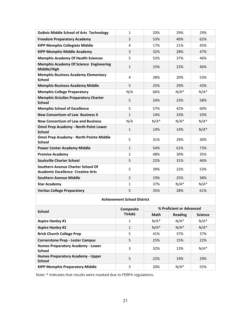| <b>DuBois Middle School of Arts Technology</b>                                | 1              | 20%     | 29%     | 29%     |
|-------------------------------------------------------------------------------|----------------|---------|---------|---------|
| <b>Freedom Preparatory Academy</b>                                            | 5              | 53%     | 40%     | 62%     |
| <b>KIPP Memphis Collegiate Middle</b>                                         | 4              | 17%     | 21%     | 45%     |
| <b>KIPP Memphis Middle Academy</b>                                            | 3              | 32%     | 28%     | 47%     |
| <b>Memphis Academy Of Health Sciences</b>                                     | 5              | 53%     | 37%     | 46%     |
| <b>Memphis Academy Of Science Engineering</b><br>Middle/High                  | $\mathbf{1}$   | 15%     | 22%     | 46%     |
| <b>Memphis Business Academy Elementary</b><br><b>School</b>                   | 4              | 28%     | 20%     | 53%     |
| <b>Memphis Business Academy Middle</b>                                        | 5              | 25%     | 29%     | 43%     |
| <b>Memphis College Preparatory</b>                                            | N/A            | 66%     | $N/A^*$ | $N/A^*$ |
| <b>Memphis Grizzlies Preparatory Charter</b><br><b>School</b>                 | 5              | 24%     | 23%     | 58%     |
| <b>Memphis School of Excellence</b>                                           | 5              | 57%     | 42%     | 60%     |
| <b>New Consortium of Law Business II</b>                                      | $\mathbf{1}$   | 14%     | 33%     | 33%     |
| <b>New Consortium of Law and Business</b>                                     | N/A            | $N/A^*$ | $N/A^*$ | $N/A^*$ |
| Omni Prep Academy - North Point Lower<br><b>School</b>                        | $\mathbf{1}$   | 14%     | 14%     | $N/A^*$ |
| Omni Prep Academy - North Pointe Middle<br><b>School</b>                      | 5              | 31%     | 29%     | 30%     |
| <b>Power Center Academy Middle</b>                                            | $\mathbf{1}$   | 54%     | 61%     | 73%     |
| <b>Promise Academy</b>                                                        | $\overline{2}$ | 48%     | 30%     | 35%     |
| <b>Soulsville Charter School</b>                                              | 5              | 22%     | 31%     | 46%     |
| Southern Avenue Charter School Of<br><b>Academic Excellence Creative Arts</b> | 5              | 39%     | 22%     | 53%     |
| <b>Southern Avenue Middle</b>                                                 | $\overline{2}$ | 19%     | 25%     | 38%     |
| <b>Star Academy</b>                                                           | $\mathbf{1}$   | 37%     | $N/A^*$ | $N/A^*$ |
| <b>Veritas College Preparatory</b>                                            | 5              | 35%     | 28%     | 61%     |

#### **Achievement School District**

| <b>School</b>                                             | <b>Composite</b> | % Proficient or Advanced |         |                |  |
|-----------------------------------------------------------|------------------|--------------------------|---------|----------------|--|
|                                                           | <b>TVAAS</b>     | Math                     | Reading | <b>Science</b> |  |
| <b>Aspire Hanley #1</b>                                   | 1                | $N/A^*$                  | $N/A^*$ | $N/A^*$        |  |
| <b>Aspire Hanley #2</b>                                   | $\mathbf{1}$     | $N/A^*$                  | $N/A^*$ | $N/A^*$        |  |
| <b>Brick Church College Prep</b>                          | 5                | 41%                      | 37%     | 37%            |  |
| <b>Cornerstone Prep - Lester Campus</b>                   | 5                | 25%                      | 15%     | 22%            |  |
| <b>Humes Preparatory Academy - Lower</b><br><b>School</b> | 3                | 32%                      | 13%     | $N/A^*$        |  |
| <b>Humes Preparatory Academy - Upper</b><br><b>School</b> | 5                | 22%                      | 19%     | 29%            |  |
| <b>KIPP Memphis Preparatory Middle</b>                    | 3                | 20%                      | $N/A^*$ | 55%            |  |

Note: \* Indicates that results were masked due to FERPA regulations.